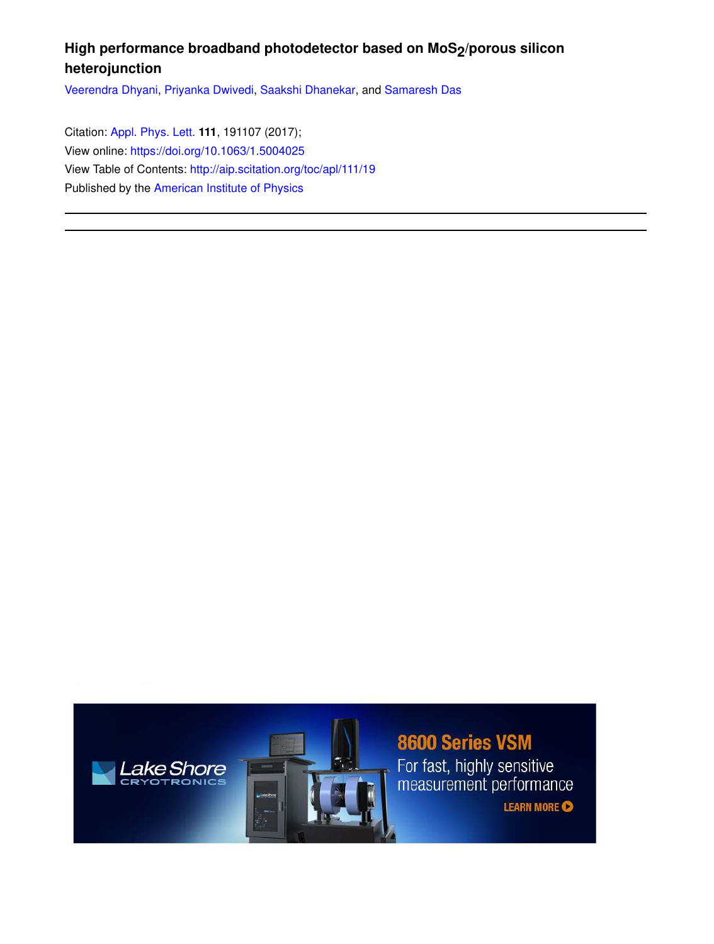## High performance broadband photodetector based on MoS<sub>2</sub>/porous silicon **heterojunction**

Veerendra Dhyani, Priyanka Dwivedi, Saakshi Dhanekar, and Samaresh Das

Citation: Appl. Phys. Lett. **111**, 191107 (2017); View online: https://doi.org/10.1063/1.5004025 View Table of Contents: http://aip.scitation.org/toc/apl/111/19 Published by the American Institute of Physics





8600 Series VSM For fast, highly sensitive<br>measurement performance

**LEARN MORE**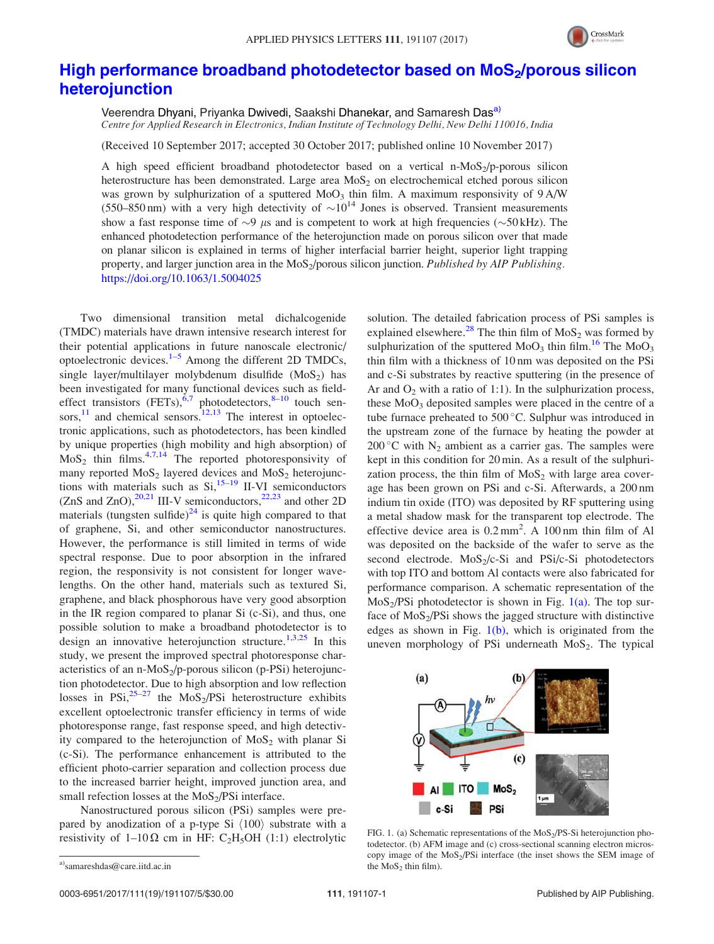

## High performance broadband photodetector based on MoS<sub>2</sub>/porous silicon heterojunction

Veerendra Dhyani, Priyanka Dwivedi, Saakshi Dhanekar, and Samaresh Das<sup>a)</sup> Centre for Applied Research in Electronics, Indian Institute of Technology Delhi, New Delhi 110016, India

(Received 10 September 2017; accepted 30 October 2017; published online 10 November 2017)

A high speed efficient broadband photodetector based on a vertical n-MoS<sub>2</sub>/p-porous silicon heterostructure has been demonstrated. Large area  $MoS<sub>2</sub>$  on electrochemical etched porous silicon was grown by sulphurization of a sputtered  $MoO<sub>3</sub>$  thin film. A maximum responsivity of 9 A/W (550–850 nm) with a very high detectivity of  $\sim 10^{14}$  Jones is observed. Transient measurements show a fast response time of  $\sim$ 9  $\mu$ s and is competent to work at high frequencies ( $\sim$ 50 kHz). The enhanced photodetection performance of the heterojunction made on porous silicon over that made on planar silicon is explained in terms of higher interfacial barrier height, superior light trapping property, and larger junction area in the MoS<sub>2</sub>/porous silicon junction. Published by AIP Publishing. https://doi.org/10.1063/1.5004025

Two dimensional transition metal dichalcogenide (TMDC) materials have drawn intensive research interest for their potential applications in future nanoscale electronic/ optoelectronic devices. $1-5$  Among the different 2D TMDCs, single layer/multilayer molybdenum disulfide  $(MoS<sub>2</sub>)$  has been investigated for many functional devices such as fieldeffect transistors  $(FETs)$ ,  $6,7$  photodetectors,  $8-10$  touch sensors, $^{11}$  and chemical sensors. $^{12,13}$  The interest in optoelectronic applications, such as photodetectors, has been kindled by unique properties (high mobility and high absorption) of  $MoS<sub>2</sub>$  thin films.<sup>4,7,14</sup> The reported photoresponsivity of many reported  $MoS_2$  layered devices and  $MoS_2$  heterojunctions with materials such as  $Si<sub>1</sub><sup>15-19</sup>$  II-VI semiconductors (ZnS and ZnO), $^{20,21}$  III-V semiconductors, $^{22,23}$  and other 2D materials (tungsten sulfide) $^{24}$  is quite high compared to that of graphene, Si, and other semiconductor nanostructures. However, the performance is still limited in terms of wide spectral response. Due to poor absorption in the infrared region, the responsivity is not consistent for longer wavelengths. On the other hand, materials such as textured Si, graphene, and black phosphorous have very good absorption in the IR region compared to planar Si (c-Si), and thus, one possible solution to make a broadband photodetector is to design an innovative heterojunction structure.<sup>1,3,25</sup> In this study, we present the improved spectral photoresponse characteristics of an n-MoS<sub>2</sub>/p-porous silicon (p-PSi) heterojunction photodetector. Due to high absorption and low reflection losses in PSi, $25-27$  the MoS<sub>2</sub>/PSi heterostructure exhibits excellent optoelectronic transfer efficiency in terms of wide photoresponse range, fast response speed, and high detectivity compared to the heterojunction of  $MoS<sub>2</sub>$  with planar Si (c-Si). The performance enhancement is attributed to the efficient photo-carrier separation and collection process due to the increased barrier height, improved junction area, and small refection losses at the  $MoS<sub>2</sub>/PSi$  interface.

Nanostructured porous silicon (PSi) samples were prepared by anodization of a p-type Si  $\langle 100 \rangle$  substrate with a resistivity of 1–10 $\Omega$  cm in HF: C<sub>2</sub>H<sub>5</sub>OH (1:1) electrolytic solution. The detailed fabrication process of PSi samples is explained elsewhere.<sup>28</sup> The thin film of  $MoS<sub>2</sub>$  was formed by sulphurization of the sputtered  $MoO<sub>3</sub>$  thin film.<sup>16</sup> The  $MoO<sub>3</sub>$ thin film with a thickness of 10 nm was deposited on the PSi and c-Si substrates by reactive sputtering (in the presence of Ar and  $O_2$  with a ratio of 1:1). In the sulphurization process, these  $MoO<sub>3</sub>$  deposited samples were placed in the centre of a tube furnace preheated to 500 °C. Sulphur was introduced in the upstream zone of the furnace by heating the powder at 200 °C with  $N_2$  ambient as a carrier gas. The samples were kept in this condition for 20 min. As a result of the sulphurization process, the thin film of  $MoS<sub>2</sub>$  with large area coverage has been grown on PSi and c-Si. Afterwards, a 200 nm indium tin oxide (ITO) was deposited by RF sputtering using a metal shadow mask for the transparent top electrode. The effective device area is  $0.2 \text{ mm}^2$ . A 100 nm thin film of Al was deposited on the backside of the wafer to serve as the second electrode.  $MoS<sub>2</sub>/c-Si$  and  $PSi/c-Si$  photodetectors with top ITO and bottom Al contacts were also fabricated for performance comparison. A schematic representation of the  $MoS<sub>2</sub>/PSi photodetector is shown in Fig. 1(a). The top sur$ face of MoS<sub>2</sub>/PSi shows the jagged structure with distinctive edges as shown in Fig.  $1(b)$ , which is originated from the uneven morphology of PSi underneath  $MoS<sub>2</sub>$ . The typical



FIG. 1. (a) Schematic representations of the  $MoS<sub>2</sub>/PS-Si$  heterojunction photodetector. (b) AFM image and (c) cross-sectional scanning electron microscopy image of the MoS<sub>2</sub>/PSi interface (the inset shows the SEM image of the  $MoS<sub>2</sub>$  thin film).

a)samareshdas@care.iitd.ac.in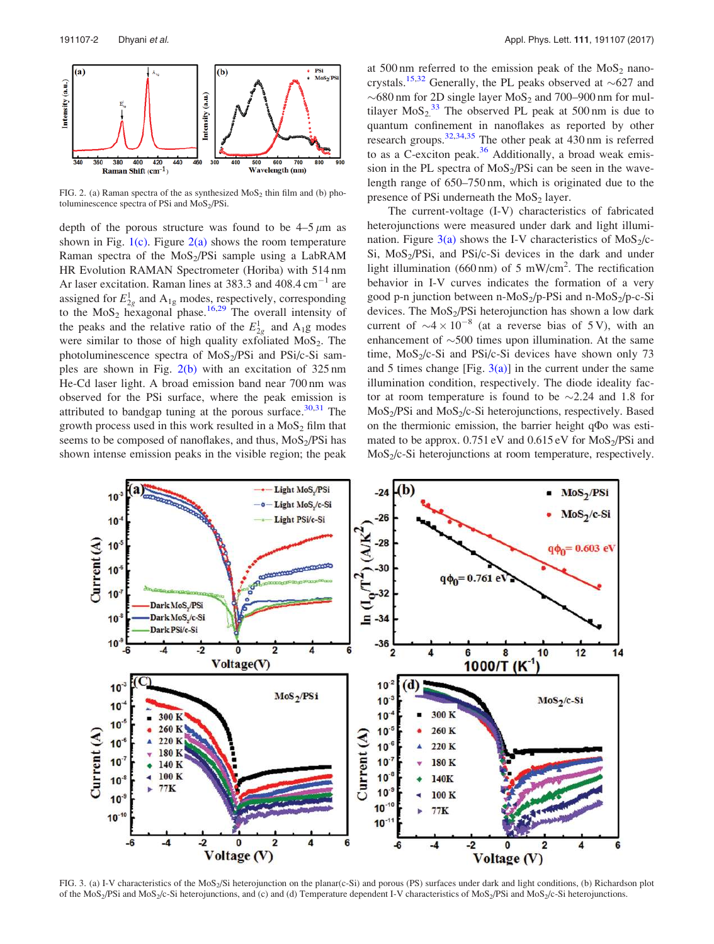

FIG. 2. (a) Raman spectra of the as synthesized  $MoS<sub>2</sub>$  thin film and (b) photoluminescence spectra of PSi and MoS2/PSi.

depth of the porous structure was found to be  $4-5 \mu m$  as shown in Fig.  $1(c)$ . Figure  $2(a)$  shows the room temperature Raman spectra of the MoS<sub>2</sub>/PSi sample using a LabRAM HR Evolution RAMAN Spectrometer (Horiba) with 514 nm Ar laser excitation. Raman lines at  $383.3$  and  $408.4 \text{ cm}^{-1}$  are assigned for  $E_{2g}^1$  and  $A_{1g}$  modes, respectively, corresponding to the  $MoS_2$  hexagonal phase.<sup>16,29</sup> The overall intensity of the peaks and the relative ratio of the  $E_{2g}^1$  and  $A_1g$  modes were similar to those of high quality exfoliated  $MoS<sub>2</sub>$ . The photoluminescence spectra of  $MoS<sub>2</sub>/PSi$  and  $PSi/c-Si$  samples are shown in Fig. 2(b) with an excitation of 325 nm He-Cd laser light. A broad emission band near 700 nm was observed for the PSi surface, where the peak emission is attributed to bandgap tuning at the porous surface. $30,31$  The growth process used in this work resulted in a  $MoS<sub>2</sub>$  film that seems to be composed of nanoflakes, and thus,  $MoS<sub>2</sub>/PSi$  has shown intense emission peaks in the visible region; the peak at 500 nm referred to the emission peak of the  $MoS<sub>2</sub>$  nanocrystals.<sup>15,32</sup> Generally, the PL peaks observed at  $\sim$ 627 and  $\sim$  680 nm for 2D single layer MoS<sub>2</sub> and 700–900 nm for multilayer  $MoS_2$ <sup>33</sup> The observed PL peak at 500 nm is due to quantum confinement in nanoflakes as reported by other research groups.<sup>32,34,35</sup> The other peak at 430 nm is referred to as a C-exciton peak. $36$  Additionally, a broad weak emission in the PL spectra of  $MoS<sub>2</sub>/PSi$  can be seen in the wavelength range of 650–750 nm, which is originated due to the presence of PSi underneath the  $MoS<sub>2</sub>$  layer.

The current-voltage (I-V) characteristics of fabricated heterojunctions were measured under dark and light illumination. Figure  $3(a)$  shows the I-V characteristics of MoS<sub>2</sub>/c-Si, MoS<sub>2</sub>/PSi, and PSi/c-Si devices in the dark and under light illumination (660 nm) of 5 mW/cm<sup>2</sup>. The rectification behavior in I-V curves indicates the formation of a very good p-n junction between n-MoS<sub>2</sub>/p-PSi and n-MoS<sub>2</sub>/p-c-Si devices. The  $MoS<sub>2</sub>/PSi$  heterojunction has shown a low dark current of  $\sim$ 4  $\times$  10<sup>-8</sup> (at a reverse bias of 5 V), with an enhancement of  $\sim$ 500 times upon illumination. At the same time,  $MoS<sub>2</sub>/c-Si$  and PSi/c-Si devices have shown only 73 and 5 times change [Fig.  $3(a)$ ] in the current under the same illumination condition, respectively. The diode ideality factor at room temperature is found to be  $\sim$  2.24 and 1.8 for MoS<sub>2</sub>/PSi and MoS<sub>2</sub>/c-Si heterojunctions, respectively. Based on the thermionic emission, the barrier height  $q\Phi$ o was estimated to be approx.  $0.751 \text{ eV}$  and  $0.615 \text{ eV}$  for  $\text{MoS}_2/\text{PSi}$  and  $MoS<sub>2</sub>/c-Si$  heterojunctions at room temperature, respectively.



FIG. 3. (a) I-V characteristics of the MoS<sub>2</sub>/Si heterojunction on the planar(c-Si) and porous (PS) surfaces under dark and light conditions, (b) Richardson plot of the  $MoS<sub>2</sub>/PSi$  and  $MoS<sub>2</sub>/c-Si$  heterojunctions, and (c) and (d) Temperature dependent I-V characteristics of  $MoS<sub>2</sub>/PSi$  and  $MoS<sub>2</sub>/c-Si$  heterojunctions.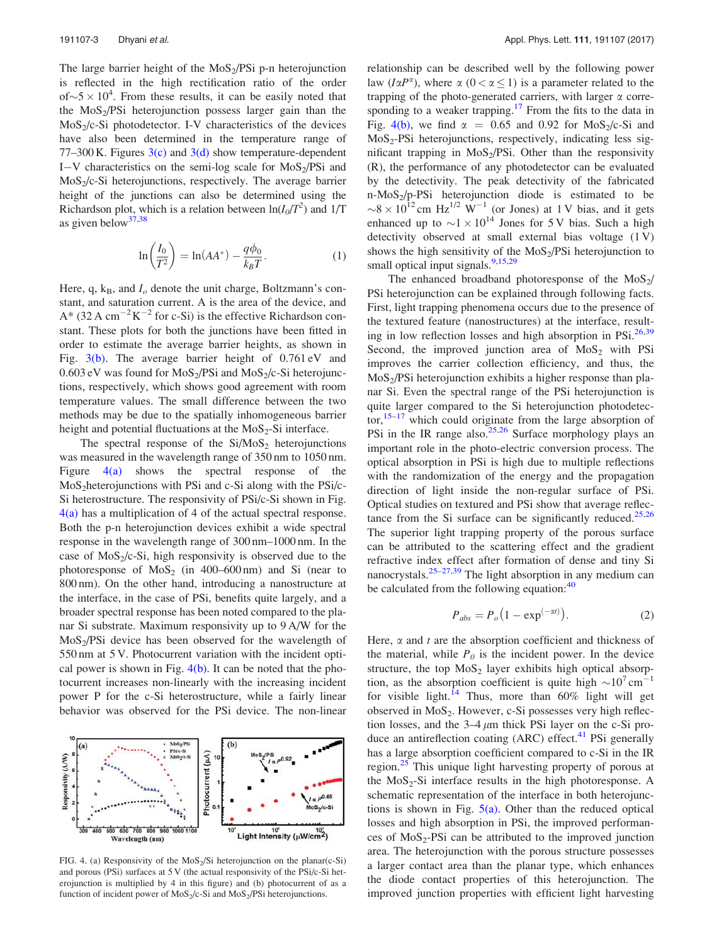The large barrier height of the  $MoS<sub>2</sub>/PSi$  p-n heterojunction is reflected in the high rectification ratio of the order of $\sim$ 5  $\times$  10<sup>4</sup>. From these results, it can be easily noted that the MoS<sup>2</sup> /PSi heterojunction possess larger gain than the MoS<sub>2</sub>/c-Si photodetector. I-V characteristics of the devices have also been determined in the temperature range of 77–300 K. Figures  $3(c)$  and  $3(d)$  show temperature-dependent I-V characteristics on the semi-log scale for  $MoS<sub>2</sub>/PSi$  and  $MoS<sub>2</sub>/c-Si$  heterojunctions, respectively. The average barrier height of the junctions can also be determined using the Richardson plot, which is a relation between  $\ln(I_0/T^2)$  and 1/T as given below  $37,38$ 

$$
\ln\left(\frac{I_0}{T^2}\right) = \ln(AA^*) - \frac{q\phi_0}{k_B T}.
$$
 (1)

Here, q,  $k_B$ , and  $I_o$  denote the unit charge, Boltzmann's constant, and saturation current. A is the area of the device, and  $A^*$  (32 A cm<sup>-2</sup>K<sup>-2</sup> for c-Si) is the effective Richardson constant. These plots for both the junctions have been fitted in order to estimate the average barrier heights, as shown in Fig.  $3(b)$ . The average barrier height of 0.761 eV and  $0.603$  eV was found for  $MoS_2/PSi$  and  $MoS_2/c-Si$  heterojunctions, respectively, which shows good agreement with room temperature values. The small difference between the two methods may be due to the spatially inhomogeneous barrier height and potential fluctuations at the  $MoS_2-Si$  interface.

The spectral response of the  $Si/MoS<sub>2</sub>$  heterojunctions was measured in the wavelength range of 350 nm to 1050 nm. Figure  $4(a)$  shows the spectral response of the MoS<sub>2</sub>heterojunctions with PSi and c-Si along with the PSi/c-Si heterostructure. The responsivity of PSi/c-Si shown in Fig. 4(a) has a multiplication of 4 of the actual spectral response. Both the p-n heterojunction devices exhibit a wide spectral response in the wavelength range of 300 nm–1000 nm. In the case of  $MoS<sub>2</sub>/c-Si$ , high responsivity is observed due to the photoresponse of  $MoS_2$  (in 400–600 nm) and Si (near to 800 nm). On the other hand, introducing a nanostructure at the interface, in the case of PSi, benefits quite largely, and a broader spectral response has been noted compared to the planar Si substrate. Maximum responsivity up to 9 A/W for the  $MoS<sub>2</sub>/PSi$  device has been observed for the wavelength of 550 nm at 5 V. Photocurrent variation with the incident optical power is shown in Fig.  $4(b)$ . It can be noted that the photocurrent increases non-linearly with the increasing incident power P for the c-Si heterostructure, while a fairly linear behavior was observed for the PSi device. The non-linear



FIG. 4. (a) Responsivity of the  $MoS<sub>2</sub>/Si$  heterojunction on the planar(c-Si) and porous (PSi) surfaces at 5 V (the actual responsivity of the PSi/c-Si heterojunction is multiplied by 4 in this figure) and (b) photocurrent of as a function of incident power of  $MoS_2/c-Si$  and  $MoS_2/PSi$  heterojunctions.

relationship can be described well by the following power law  $(I\alpha P^{\alpha})$ , where  $\alpha$  ( $0 < \alpha \leq 1$ ) is a parameter related to the trapping of the photo-generated carriers, with larger  $\alpha$  corresponding to a weaker trapping.<sup>17</sup> From the fits to the data in Fig. 4(b), we find  $\alpha = 0.65$  and 0.92 for MoS<sub>2</sub>/c-Si and MoS<sup>2</sup> -PSi heterojunctions, respectively, indicating less significant trapping in  $MoS<sub>2</sub>/PSi$ . Other than the responsivity (R), the performance of any photodetector can be evaluated by the detectivity. The peak detectivity of the fabricated n-MoS<sup>2</sup> /p-PSi heterojunction diode is estimated to be  $\sim 8 \times 10^{12}$  cm Hz<sup>1/2</sup> W<sup>-1</sup> (or Jones) at 1 V bias, and it gets enhanced up to  $\sim$ 1  $\times$  10<sup>14</sup> Jones for 5 V bias. Such a high detectivity observed at small external bias voltage (1 V) shows the high sensitivity of the  $MoS<sub>2</sub>/PSi$  heterojunction to small optical input signals.<sup>9,15,29</sup>

The enhanced broadband photoresponse of the  $MoS<sub>2</sub>/$ PSi heterojunction can be explained through following facts. First, light trapping phenomena occurs due to the presence of the textured feature (nanostructures) at the interface, resulting in low reflection losses and high absorption in PSi.<sup>26,39</sup> Second, the improved junction area of  $MoS<sub>2</sub>$  with PSi improves the carrier collection efficiency, and thus, the  $MoS<sub>2</sub>/PSi heterojunction exhibits a higher response than pla$ nar Si. Even the spectral range of the PSi heterojunction is quite larger compared to the Si heterojunction photodetec- $\text{tor}$ ,<sup>15–17</sup> which could originate from the large absorption of PSi in the IR range also. $25,26$  Surface morphology plays an important role in the photo-electric conversion process. The optical absorption in PSi is high due to multiple reflections with the randomization of the energy and the propagation direction of light inside the non-regular surface of PSi. Optical studies on textured and PSi show that average reflectance from the Si surface can be significantly reduced.<sup>25,26</sup> The superior light trapping property of the porous surface can be attributed to the scattering effect and the gradient refractive index effect after formation of dense and tiny Si nanocrystals.<sup>25–27,39</sup> The light absorption in any medium can be calculated from the following equation:<sup>40</sup>

$$
P_{abs} = P_o \left( 1 - \exp^{(-\alpha t)} \right). \tag{2}
$$

Here,  $\alpha$  and  $t$  are the absorption coefficient and thickness of the material, while  $P_0$  is the incident power. In the device structure, the top  $MoS_2$  layer exhibits high optical absorption, as the absorption coefficient is quite high  $\sim 10^7 \text{ cm}^{-1}$ for visible light.<sup>14</sup> Thus, more than  $60\%$  light will get observed in  $MoS<sub>2</sub>$ . However, c-Si possesses very high reflection losses, and the  $3-4 \mu m$  thick PSi layer on the c-Si produce an antireflection coating  $(ARC)$  effect.<sup>41</sup> PSi generally has a large absorption coefficient compared to c-Si in the IR region.<sup>25</sup> This unique light harvesting property of porous at the  $MoS<sub>2</sub>-Si$  interface results in the high photoresponse. A schematic representation of the interface in both heterojunctions is shown in Fig.  $5(a)$ . Other than the reduced optical losses and high absorption in PSi, the improved performances of  $MoS_2$ -PSi can be attributed to the improved junction area. The heterojunction with the porous structure possesses a larger contact area than the planar type, which enhances the diode contact properties of this heterojunction. The improved junction properties with efficient light harvesting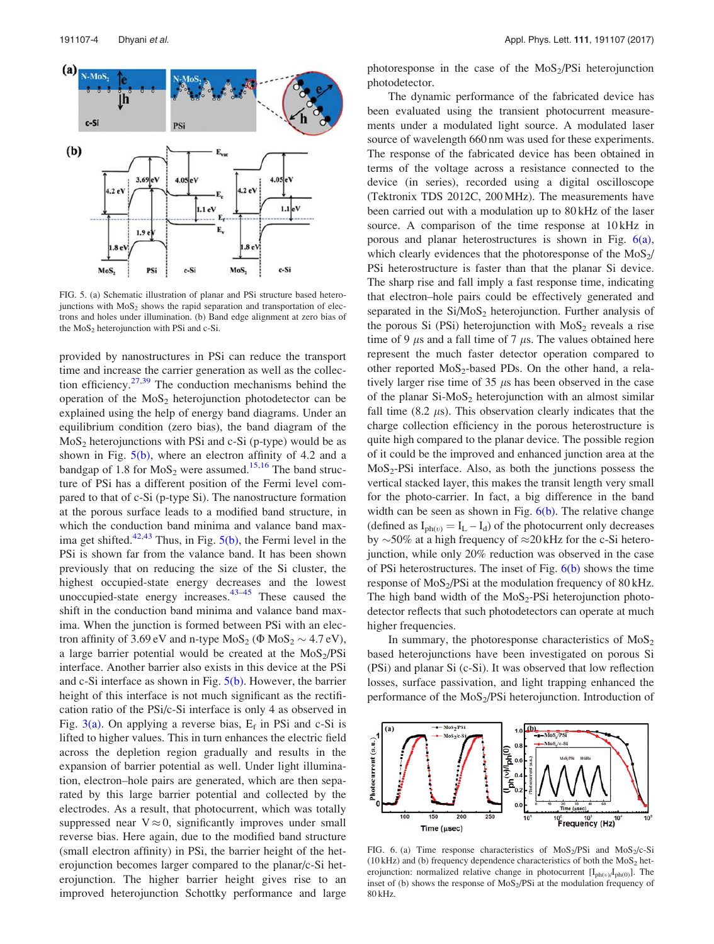

FIG. 5. (a) Schematic illustration of planar and PSi structure based heterojunctions with  $MoS<sub>2</sub>$  shows the rapid separation and transportation of electrons and holes under illumination. (b) Band edge alignment at zero bias of the  $MoS<sub>2</sub>$  heterojunction with PSi and c-Si.

provided by nanostructures in PSi can reduce the transport time and increase the carrier generation as well as the collection efficiency.<sup>27,39</sup> The conduction mechanisms behind the operation of the  $MoS<sub>2</sub>$  heterojunction photodetector can be explained using the help of energy band diagrams. Under an equilibrium condition (zero bias), the band diagram of the  $MoS<sub>2</sub>$  heterojunctions with PSi and c-Si (p-type) would be as shown in Fig.  $5(b)$ , where an electron affinity of 4.2 and a bandgap of 1.8 for  $MoS<sub>2</sub>$  were assumed.<sup>15,16</sup> The band structure of PSi has a different position of the Fermi level compared to that of c-Si (p-type Si). The nanostructure formation at the porous surface leads to a modified band structure, in which the conduction band minima and valance band maxima get shifted. $42,43$  Thus, in Fig.  $5(b)$ , the Fermi level in the PSi is shown far from the valance band. It has been shown previously that on reducing the size of the Si cluster, the highest occupied-state energy decreases and the lowest unoccupied-state energy increases. $43-45$  These caused the shift in the conduction band minima and valance band maxima. When the junction is formed between PSi with an electron affinity of  $3.69 \text{ eV}$  and n-type  $\text{MoS}_2 \ (Phi \text{MoS}_2 \sim 4.7 \text{ eV})$ , a large barrier potential would be created at the  $MoS<sub>2</sub>/PSi$ interface. Another barrier also exists in this device at the PSi and c-Si interface as shown in Fig.  $5(b)$ . However, the barrier height of this interface is not much significant as the rectification ratio of the PSi/c-Si interface is only 4 as observed in Fig.  $3(a)$ . On applying a reverse bias,  $E_f$  in PSi and c-Si is lifted to higher values. This in turn enhances the electric field across the depletion region gradually and results in the expansion of barrier potential as well. Under light illumination, electron–hole pairs are generated, which are then separated by this large barrier potential and collected by the electrodes. As a result, that photocurrent, which was totally suppressed near  $V \approx 0$ , significantly improves under small reverse bias. Here again, due to the modified band structure (small electron affinity) in PSi, the barrier height of the heterojunction becomes larger compared to the planar/c-Si heterojunction. The higher barrier height gives rise to an improved heterojunction Schottky performance and large photoresponse in the case of the  $MoS<sub>2</sub>/PSi$  heterojunction photodetector.

The dynamic performance of the fabricated device has been evaluated using the transient photocurrent measurements under a modulated light source. A modulated laser source of wavelength 660 nm was used for these experiments. The response of the fabricated device has been obtained in terms of the voltage across a resistance connected to the device (in series), recorded using a digital oscilloscope (Tektronix TDS 2012C, 200 MHz). The measurements have been carried out with a modulation up to 80 kHz of the laser source. A comparison of the time response at  $10kHz$  in porous and planar heterostructures is shown in Fig. 6(a), which clearly evidences that the photoresponse of the  $MoS<sub>2</sub>/$ PSi heterostructure is faster than that the planar Si device. The sharp rise and fall imply a fast response time, indicating that electron–hole pairs could be effectively generated and separated in the  $Si/MoS<sub>2</sub>$  heterojunction. Further analysis of the porous Si (PSi) heterojunction with  $MoS<sub>2</sub>$  reveals a rise time of 9  $\mu$ s and a fall time of 7  $\mu$ s. The values obtained here represent the much faster detector operation compared to other reported  $MoS_2$ -based PDs. On the other hand, a relatively larger rise time of 35  $\mu$ s has been observed in the case of the planar  $Si-MoS<sub>2</sub>$  heterojunction with an almost similar fall time  $(8.2 \mu s)$ . This observation clearly indicates that the charge collection efficiency in the porous heterostructure is quite high compared to the planar device. The possible region of it could be the improved and enhanced junction area at the  $MoS<sub>2</sub>-PSi$  interface. Also, as both the junctions possess the vertical stacked layer, this makes the transit length very small for the photo-carrier. In fact, a big difference in the band width can be seen as shown in Fig.  $6(b)$ . The relative change (defined as  $I_{ph(v)} = I_L - I_d$ ) of the photocurrent only decreases by  $\sim$ 50% at a high frequency of  $\approx$ 20 kHz for the c-Si heterojunction, while only 20% reduction was observed in the case of PSi heterostructures. The inset of Fig.  $6(b)$  shows the time response of  $MoS<sub>2</sub>/PSi$  at the modulation frequency of 80 kHz. The high band width of the  $MoS<sub>2</sub>-PSi$  heterojunction photodetector reflects that such photodetectors can operate at much higher frequencies.

In summary, the photoresponse characteristics of  $MoS<sub>2</sub>$ based heterojunctions have been investigated on porous Si (PSi) and planar Si (c-Si). It was observed that low reflection losses, surface passivation, and light trapping enhanced the performance of the MoS<sub>2</sub>/PSi heterojunction. Introduction of



FIG. 6. (a) Time response characteristics of  $MoS<sub>2</sub>/PSi$  and  $MoS<sub>2</sub>/c-Si$ (10 kHz) and (b) frequency dependence characteristics of both the  $MoS<sub>2</sub>$  heterojunction: normalized relative change in photocurrent  $[I_{ph(v)}I_{ph(0)}]$ . The inset of (b) shows the response of  $MoS<sub>2</sub>/PSi$  at the modulation frequency of 80 kHz.